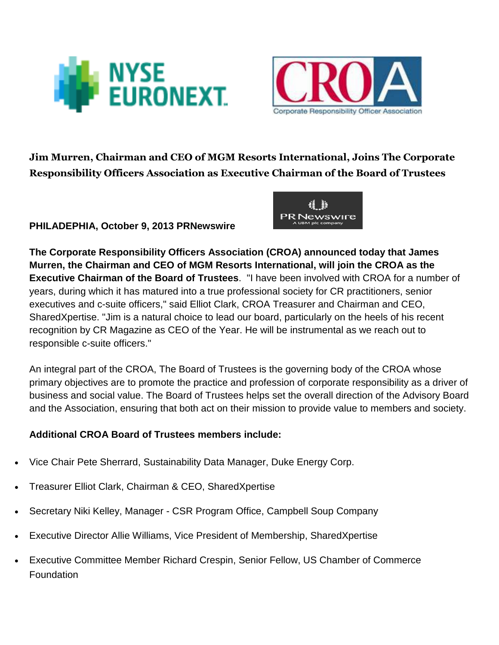



Jim Murren, Chairman and CEO of MGM Resorts International, Joins The Corporate Responsibility Officers Association as Executive Chairman of the Board of Trustees

## **PHILADEPHIA, October 9, 2013 PRNewswire**



**The Corporate Responsibility Officers Association (CROA) announced today that James Murren, the Chairman and CEO of MGM Resorts International, will join the CROA as the Executive Chairman of the Board of Trustees**. "I have been involved with CROA for a number of years, during which it has matured into a true professional society for CR practitioners, senior executives and c-suite officers," said Elliot Clark, CROA Treasurer and Chairman and CEO, SharedXpertise. "Jim is a natural choice to lead our board, particularly on the heels of his recent recognition by CR Magazine as CEO of the Year. He will be instrumental as we reach out to responsible c-suite officers."

An integral part of the CROA, The Board of Trustees is the governing body of the CROA whose primary objectives are to promote the practice and profession of corporate responsibility as a driver of business and social value. The Board of Trustees helps set the overall direction of the Advisory Board and the Association, ensuring that both act on their mission to provide value to members and society.

## **Additional CROA Board of Trustees members include:**

- Vice Chair Pete Sherrard, Sustainability Data Manager, Duke Energy Corp.
- Treasurer Elliot Clark, Chairman & CEO, SharedXpertise
- Secretary Niki Kelley, Manager CSR Program Office, Campbell Soup Company
- Executive Director Allie Williams, Vice President of Membership, SharedXpertise
- Executive Committee Member Richard Crespin, Senior Fellow, US Chamber of Commerce Foundation